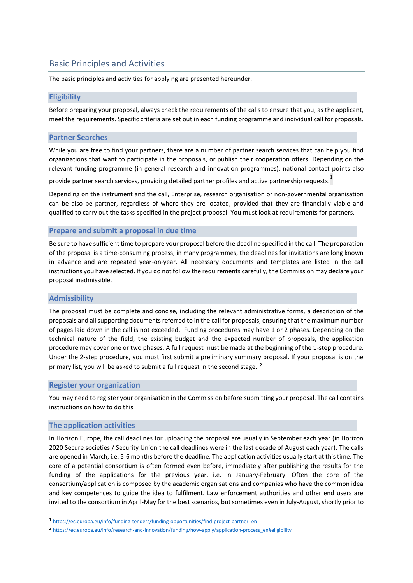# Basic Principles and Activities

The basic principles and activities for applying are presented hereunder.

# **Eligibility**

Before preparing your proposal, always check the requirements of the calls to ensure that you, as the applicant, meet the requirements. Specific criteria are set out in each funding programme and individual call for proposals.

# **Partner Searches**

While you are free to find your partners, there are a number of partner search services that can help you find organizations that want to participate in the proposals, or publish their cooperation offers. Depending on the relevant funding programme (in general research and innovation programmes), national contact points also

provide partner search services, providing detailed partner profiles and active partnership requests.<sup>1</sup>

Depending on the instrument and the call, Enterprise, research organisation or non-governmental organisation can be also be partner, regardless of where they are located, provided that they are financially viable and qualified to carry out the tasks specified in the project proposal. You must look at requirements for partners.

### **Prepare and submit a proposal in due time**

Be sure to have sufficient time to prepare your proposal before the deadline specified in the call. The preparation of the proposal is a time-consuming process; in many programmes, the deadlines for invitations are long known in advance and are repeated year-on-year. All necessary documents and templates are listed in the call instructions you have selected. If you do not follow the requirements carefully, the Commission may declare your proposal inadmissible.

### **Admissibility**

The proposal must be complete and concise, including the relevant administrative forms, a description of the proposals and all supporting documents referred to in the call for proposals, ensuring that the maximum number of pages laid down in the call is not exceeded. Funding procedures may have 1 or 2 phases. Depending on the technical nature of the field, the existing budget and the expected number of proposals, the application procedure may cover one or two phases. A full request must be made at the beginning of the 1-step procedure. Under the 2-step procedure, you must first submit a preliminary summary proposal. If your proposal is on the primary list, you will be asked to submit a full request in the second stage. <sup>2</sup>

### **Register your organization**

You may need to register your organisation in the Commission before submitting your proposal. The call contains instructions on how to do this

### **The application activities**

In Horizon Europe, the call deadlines for uploading the proposal are usually in September each year (in Horizon 2020 Secure societies / Security Union the call deadlines were in the last decade of August each year). The calls are opened in March, i.e. 5-6 months before the deadline. The application activities usually start at this time. The core of a potential consortium is often formed even before, immediately after publishing the results for the funding of the applications for the previous year, i.e. in January-February. Often the core of the consortium/application is composed by the academic organisations and companies who have the common idea and key competences to guide the idea to fulfilment. Law enforcement authorities and other end users are invited to the consortium in April-May for the best scenarios, but sometimes even in July-August, shortly prior to

<sup>1</sup> [https://ec.europa.eu/info/funding-tenders/funding-opportunities/find-project-partner\\_en](https://ec.europa.eu/info/funding-tenders/funding-opportunities/find-project-partner_en)

<sup>2</sup> [https://ec.europa.eu/info/research-and-innovation/funding/how-apply/application-process\\_en#eligibility](https://ec.europa.eu/info/research-and-innovation/funding/how-apply/application-process_en#eligibility)